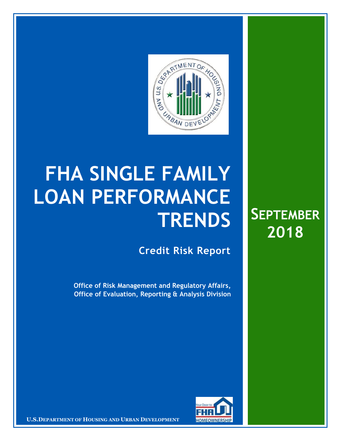

# **FHA SINGLE FAMILY LOAN PERFORMANCE TRENDS**

**Credit Risk Report**

**Office of Risk Management and Regulatory Affairs, Office of Evaluation, Reporting & Analysis Division**





**EXAMPLE 2018 IN EXAMPLE 2018 INCORPORT AND <b>EXAMPLE 2018 INTERNAL USE ONLY 12 INCORPORATION IN EXAMPLE 2019 IN EXAMPLE 2018**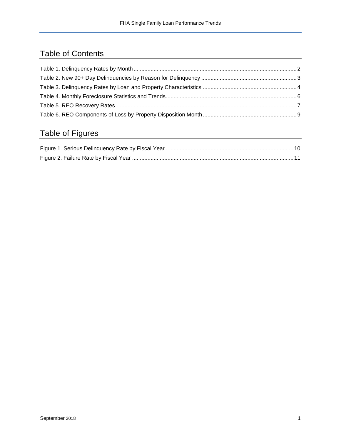## Table of Contents

# Table of Figures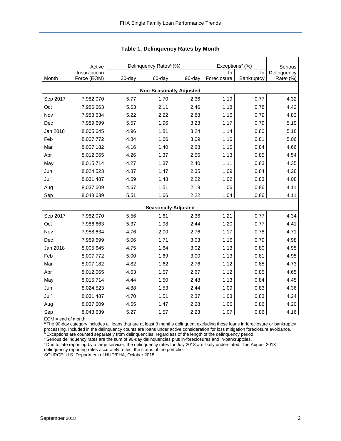<span id="page-2-0"></span>

|          | Active<br>Insurance in |        | Delinquency Rates <sup>a</sup> (%) |                            | Exceptions <sup>b</sup> (%)<br>In | Serious<br>Delinquency |                       |  |
|----------|------------------------|--------|------------------------------------|----------------------------|-----------------------------------|------------------------|-----------------------|--|
| Month    | Force (EOM)            | 30-day | 60-day                             | 90-day                     | Foreclosure                       | In<br>Bankruptcy       | Rate <sup>c</sup> (%) |  |
|          |                        |        |                                    |                            |                                   |                        |                       |  |
|          |                        |        | <b>Non-Seasonally Adjusted</b>     |                            |                                   |                        |                       |  |
| Sep 2017 | 7,982,070              | 5.77   | 1.70                               | 2.36                       | 1.19                              | 0.77                   | 4.32                  |  |
| Oct      | 7,986,663              | 5.53   | 2.11                               | 2.46                       | 1.18                              | 0.78                   | 4.42                  |  |
| Nov      | 7,988,634              | 5.22   | 2.22                               | 2.88                       | 1.16                              | 0.79                   | 4.83                  |  |
| Dec      | 7,989,699              | 5.57   | 1.96                               | 3.23                       | 1.17                              | 0.79                   | 5.19                  |  |
| Jan 2018 | 8,005,645              | 4.96   | 1.81                               | 3.24                       | 1.14                              | 0.80                   | 5.18                  |  |
| Feb      | 8,007,772              | 4.84   | 1.66                               | 3.09                       | 1.16                              | 0.81                   | 5.06                  |  |
| Mar      | 8,007,182              | 4.16   | 1.40                               | 2.68                       | 1.15                              | 0.84                   | 4.66                  |  |
| Apr      | 8,012,065              | 4.26   | 1.37                               | 2.56                       | 1.13                              | 0.85                   | 4.54                  |  |
| May      | 8,015,714              | 4.27   | 1.37                               | 2.40                       | 1.11                              | 0.83                   | 4.35                  |  |
| Jun      | 8,024,523              | 4.87   | 1.47                               | 2.35                       | 1.09                              | 0.84                   | 4.28                  |  |
| Juld     | 8,031,487              | 4.59   | 1.48                               | 2.22                       | 1.02                              | 0.83                   | 4.08                  |  |
| Aug      | 8,037,609              | 4.67   | 1.51                               | 2.19                       | 1.06                              | 0.86                   | 4.11                  |  |
| Sep      | 8,048,639              | 5.51   | 1.66                               | 2.22                       | 1.04                              | 0.86                   | 4.11                  |  |
|          |                        |        |                                    | <b>Seasonally Adjusted</b> |                                   |                        |                       |  |
| Sep 2017 | 7,982,070              | 5.56   | 1.61                               | 2.36                       | 1.21                              | 0.77                   | 4.34                  |  |
| Oct      | 7,986,663              | 5.37   | 1.98                               | 2.44                       | 1.20                              | 0.77                   | 4.41                  |  |
| Nov      | 7,988,634              | 4.76   | 2.00                               | 2.76                       | 1.17                              | 0.78                   | 4.71                  |  |
| Dec      | 7,989,699              | 5.06   | 1.71                               | 3.03                       | 1.16                              | 0.79                   | 4.98                  |  |
| Jan 2018 | 8,005,645              | 4.75   | 1.64                               | 3.02                       | 1.13                              | 0.80                   | 4.95                  |  |
| Feb      | 8,007,772              | 5.00   | 1.69                               | 3.00                       | 1.13                              | 0.81                   | 4.95                  |  |
| Mar      | 8,007,182              | 4.82   | 1.62                               | 2.76                       | 1.12                              | 0.85                   | 4.73                  |  |
|          | 8,012,065              | 4.63   | 1.57                               | 2.67                       | 1.12                              | 0.85                   | 4.65                  |  |
| Apr      |                        |        |                                    |                            |                                   |                        |                       |  |
| May      | 8,015,714              | 4.44   | 1.50                               | 2.48                       | 1.13                              | 0.84                   | 4.45                  |  |
| Jun      | 8,024,523              | 4.88   | 1.53                               | 2.44                       | 1.09                              | 0.83                   | 4.36                  |  |
| Juld     | 8,031,487              | 4.70   | 1.51                               | 2.37                       | 1.03                              | 0.83                   | 4.24                  |  |
| Aug      | 8,037,609              | 4.55   | 1.47                               | 2.28                       | 1.06                              | 0.86                   | 4.20                  |  |
| Sep      | 8,048,639              | 5.27   | 1.57                               | 2.23                       | 1.07                              | 0.86                   | 4.16                  |  |

**Table 1. Delinquency Rates by Month**

EOM = end of month.

a The 90-day category includes all loans that are at least 3 months delinquent excluding those loans in foreclosure or bankruptcy processing. Included in the delinquency counts are loans under active consideration for loss mitigation foreclosure avoidance.

 $b$  Exceptions are counted separately from delinquencies, regardless of the length of the delinquency period. <sup>c</sup> Serious delinquency rates are the sum of 90-day delinquencies plus in-foreclosures and in-bankruptcies.

<sup>d</sup> Due to late reporting by a large servicer, the delinquency rates for July 2018 are likely understated. The August 2018 delinquency reporting rates accurately reflect the status of the portfolio.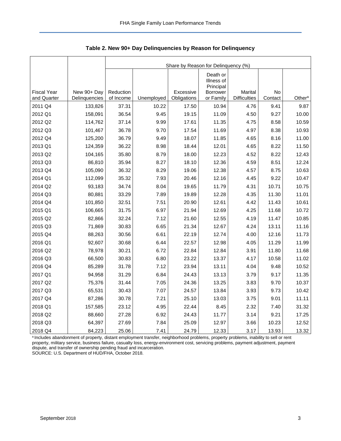|                    |               |           | Share by Reason for Delinquency (%) |             |                                                 |                     |         |                    |  |  |  |  |
|--------------------|---------------|-----------|-------------------------------------|-------------|-------------------------------------------------|---------------------|---------|--------------------|--|--|--|--|
| <b>Fiscal Year</b> | New 90+ Day   | Reduction |                                     | Excessive   | Death or<br>Illness of<br>Principal<br>Borrower | Marital             | No      |                    |  |  |  |  |
| and Quarter        | Delinguencies | of Income | Unemployed                          | Obligations | or Family                                       | <b>Difficulties</b> | Contact | Other <sup>a</sup> |  |  |  |  |
| 2011 Q4            | 133,826       | 37.31     | 10.22                               | 17.50       | 10.94                                           | 4.76                | 9.41    | 9.87               |  |  |  |  |
| 2012 Q1            | 158,091       | 36.54     | 9.45                                | 19.15       | 11.09                                           | 4.50                | 9.27    | 10.00              |  |  |  |  |
| 2012 Q2            | 114,762       | 37.14     | 9.99                                | 17.61       | 11.35                                           | 4.75                | 8.58    | 10.59              |  |  |  |  |
| 2012 Q3            | 101,467       | 36.78     | 9.70                                | 17.54       | 11.69                                           | 4.97                | 8.38    | 10.93              |  |  |  |  |
| 2012 Q4            | 125,200       | 36.79     | 9.49                                | 18.07       | 11.85                                           | 4.65                | 8.16    | 11.00              |  |  |  |  |
| 2013 Q1            | 124,359       | 36.22     | 8.98                                | 18.44       | 12.01                                           | 4.65                | 8.22    | 11.50              |  |  |  |  |
| 2013 Q2            | 104,165       | 35.80     | 8.79                                | 18.00       | 12.23                                           | 4.52                | 8.22    | 12.43              |  |  |  |  |
| 2013 Q3            | 86,810        | 35.94     | 8.27                                | 18.10       | 12.36                                           | 4.59                | 8.51    | 12.24              |  |  |  |  |
| 2013 Q4            | 105,090       | 36.32     | 8.29                                | 19.06       | 12.38                                           | 4.57                | 8.75    | 10.63              |  |  |  |  |
| 2014 Q1            | 112,099       | 35.32     | 7.93                                | 20.46       | 12.16                                           | 4.45                | 9.22    | 10.47              |  |  |  |  |
| 2014 Q2            | 93,183        | 34.74     | 8.04                                | 19.65       | 11.79                                           | 4.31                | 10.71   | 10.75              |  |  |  |  |
| 2014 Q3            | 80,881        | 33.29     | 7.89                                | 19.89       | 12.28                                           | 4.35                | 11.30   | 11.01              |  |  |  |  |
| 2014 Q4            | 101,850       | 32.51     | 7.51                                | 20.90       | 12.61                                           | 4.42                | 11.43   | 10.61              |  |  |  |  |
| 2015 Q1            | 106,665       | 31.75     | 6.97                                | 21.94       | 12.69                                           | 4.25                | 11.68   | 10.72              |  |  |  |  |
| 2015 Q2            | 82,866        | 32.24     | 7.12                                | 21.60       | 12.55                                           | 4.19                | 11.47   | 10.85              |  |  |  |  |
| 2015 Q3            | 71,869        | 30.83     | 6.65                                | 21.34       | 12.67                                           | 4.24                | 13.11   | 11.16              |  |  |  |  |
| 2015 Q4            | 88,263        | 30.56     | 6.61                                | 22.19       | 12.74                                           | 4.00                | 12.16   | 11.73              |  |  |  |  |
| 2016 Q1            | 92,607        | 30.68     | 6.44                                | 22.57       | 12.98                                           | 4.05                | 11.29   | 11.99              |  |  |  |  |
| 2016 Q2            | 78,978        | 30.21     | 6.72                                | 22.84       | 12.84                                           | 3.91                | 11.80   | 11.68              |  |  |  |  |
| 2016 Q3            | 66,500        | 30.83     | 6.80                                | 23.22       | 13.37                                           | 4.17                | 10.58   | 11.02              |  |  |  |  |
| 2016 Q4            | 85,289        | 31.78     | 7.12                                | 23.94       | 13.11                                           | 4.04                | 9.48    | 10.52              |  |  |  |  |
| 2017 Q1            | 94,958        | 31.29     | 6.84                                | 24.43       | 13.13                                           | 3.79                | 9.17    | 11.35              |  |  |  |  |
| 2017 Q2            | 75,376        | 31.44     | 7.05                                | 24.36       | 13.25                                           | 3.83                | 9.70    | 10.37              |  |  |  |  |
| 2017 Q3            | 65,531        | 30.43     | 7.07                                | 24.57       | 13.84                                           | 3.93                | 9.73    | 10.42              |  |  |  |  |
| 2017 Q4            | 87,286        | 30.78     | 7.21                                | 25.10       | 13.03                                           | 3.75                | 9.01    | 11.11              |  |  |  |  |
| 2018 Q1            | 157,585       | 23.12     | 4.95                                | 22.44       | 8.45                                            | 2.32                | 7.40    | 31.32              |  |  |  |  |
| 2018 Q2            | 88,660        | 27.28     | 6.92                                | 24.43       | 11.77                                           | 3.14                | 9.21    | 17.25              |  |  |  |  |
| 2018 Q3            | 64,397        | 27.69     | 7.84                                | 25.09       | 12.97                                           | 3.66                | 10.23   | 12.52              |  |  |  |  |
| 2018 Q4            | 84,223        | 25.06     | 7.41                                | 24.79       | 12.33                                           | 3.17                | 13.93   | 13.32              |  |  |  |  |

<span id="page-3-0"></span>**Table 2. New 90+ Day Delinquencies by Reason for Delinquency**

a Includes abandonment of property, distant employment transfer, neighborhood problems, property problems, inability to sell or rent property, military service, business failure, casualty loss, energy-environment cost, servicing problems, payment adjustment, payment dispute, and transfer of ownership pending fraud and incarceration. SOURCE: U.S. Department of HUD/FHA, October 2018.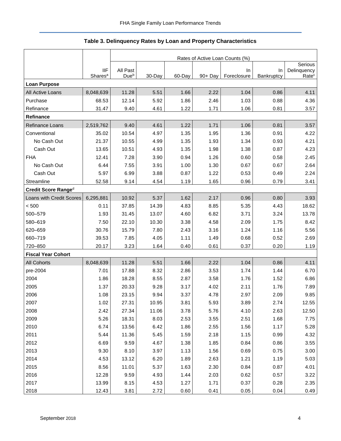## **Table 3. Delinquency Rates by Loan and Property Characteristics**

<span id="page-4-0"></span>

|                           |                     | Rates of Active Loan Counts (%) |        |        |         |             |            |                        |  |
|---------------------------|---------------------|---------------------------------|--------|--------|---------|-------------|------------|------------------------|--|
|                           | IIF                 | All Past                        |        |        |         | In          | In         | Serious<br>Delinquency |  |
|                           | Shares <sup>a</sup> | Due <sup>b</sup>                | 30-Day | 60-Day | 90+ Day | Foreclosure | Bankruptcy | Rate <sup>c</sup>      |  |
| <b>Loan Purpose</b>       |                     |                                 |        |        |         |             |            |                        |  |
| All Active Loans          | 8,048,639           | 11.28                           | 5.51   | 1.66   | 2.22    | 1.04        | 0.86       | 4.11                   |  |
| Purchase                  | 68.53               | 12.14                           | 5.92   | 1.86   | 2.46    | 1.03        | 0.88       | 4.36                   |  |
| Refinance                 | 31.47               | 9.40                            | 4.61   | 1.22   | 1.71    | 1.06        | 0.81       | 3.57                   |  |
| Refinance                 |                     |                                 |        |        |         |             |            |                        |  |
| <b>Refinance Loans</b>    | 2,519,762           | 9.40                            | 4.61   | 1.22   | 1.71    | 1.06        | 0.81       | 3.57                   |  |
| Conventional              | 35.02               | 10.54                           | 4.97   | 1.35   | 1.95    | 1.36        | 0.91       | 4.22                   |  |
| No Cash Out               | 21.37               | 10.55                           | 4.99   | 1.35   | 1.93    | 1.34        | 0.93       | 4.21                   |  |
| Cash Out                  | 13.65               | 10.51                           | 4.93   | 1.35   | 1.98    | 1.38        | 0.87       | 4.23                   |  |
| <b>FHA</b>                | 12.41               | 7.28                            | 3.90   | 0.94   | 1.26    | 0.60        | 0.58       | 2.45                   |  |
| No Cash Out               | 6.44                | 7.55                            | 3.91   | 1.00   | 1.30    | 0.67        | 0.67       | 2.64                   |  |
| Cash Out                  | 5.97                | 6.99                            | 3.88   | 0.87   | 1.22    | 0.53        | 0.49       | 2.24                   |  |
| Streamline                | 52.58               | 9.14                            | 4.54   | 1.19   | 1.65    | 0.96        | 0.79       | 3.41                   |  |
| Credit Score Ranged       |                     |                                 |        |        |         |             |            |                        |  |
| Loans with Credit Scores  | 6,295,881           | 10.92                           | 5.37   | 1.62   | 2.17    | 0.96        | 0.80       | 3.93                   |  |
| < 500                     | 0.11                | 37.85                           | 14.39  | 4.83   | 8.85    | 5.35        | 4.43       | 18.62                  |  |
| 500-579                   | 1.93                | 31.45                           | 13.07  | 4.60   | 6.82    | 3.71        | 3.24       | 13.78                  |  |
| 580-619                   | 7.50                | 22.10                           | 10.30  | 3.38   | 4.58    | 2.09        | 1.75       | 8.42                   |  |
| 620-659                   | 30.76               | 15.79                           | 7.80   | 2.43   | 3.16    | 1.24        | 1.16       | 5.56                   |  |
| 660-719                   | 39.53               | 7.85                            | 4.05   | 1.11   | 1.49    | 0.68        | 0.52       | 2.69                   |  |
| 720-850                   | 20.17               | 3.23                            | 1.64   | 0.40   | 0.61    | 0.37        | 0.20       | 1.19                   |  |
| <b>Fiscal Year Cohort</b> |                     |                                 |        |        |         |             |            |                        |  |
| <b>All Cohorts</b>        | 8,048,639           | 11.28                           | 5.51   | 1.66   | 2.22    | 1.04        | 0.86       | 4.11                   |  |
| pre-2004                  | 7.01                | 17.88                           | 8.32   | 2.86   | 3.53    | 1.74        | 1.44       | 6.70                   |  |
| 2004                      | 1.86                | 18.28                           | 8.55   | 2.87   | 3.58    | 1.76        | 1.52       | 6.86                   |  |
| 2005                      | 1.37                | 20.33                           | 9.28   | 3.17   | 4.02    | 2.11        | 1.76       | 7.89                   |  |
| 2006                      | 1.08                | 23.15                           | 9.94   | 3.37   | 4.78    | 2.97        | 2.09       | 9.85                   |  |
| 2007                      | 1.02                | 27.31                           | 10.95  | 3.81   | 5.93    | 3.89        | 2.74       | 12.55                  |  |
| 2008                      | 2.42                | 27.34                           | 11.06  | 3.78   | 5.76    | 4.10        | 2.63       | 12.50                  |  |
| 2009                      | 5.26                | 18.31                           | 8.03   | 2.53   | 3.55    | 2.51        | 1.68       | 7.75                   |  |
| 2010                      | 6.74                | 13.56                           | 6.42   | 1.86   | 2.55    | 1.56        | 1.17       | 5.28                   |  |
| 2011                      | 5.44                | 11.36                           | 5.45   | 1.59   | 2.18    | 1.15        | 0.99       | 4.32                   |  |
| 2012                      | 6.69                | 9.59                            | 4.67   | 1.38   | 1.85    | 0.84        | 0.86       | 3.55                   |  |
| 2013                      | 9.30                | 8.10                            | 3.97   | 1.13   | 1.56    | 0.69        | 0.75       | 3.00                   |  |
| 2014                      | 4.53                | 13.12                           | 6.20   | 1.89   | 2.63    | 1.21        | 1.19       | 5.03                   |  |
| 2015                      | 8.56                | 11.01                           | 5.37   | 1.63   | 2.30    | 0.84        | 0.87       | 4.01                   |  |
| 2016                      | 12.28               | 9.59                            | 4.93   | 1.44   | 2.03    | 0.62        | 0.57       | 3.22                   |  |
| 2017                      | 13.99               | 8.15                            | 4.53   | 1.27   | 1.71    | 0.37        | 0.28       | 2.35                   |  |
| 2018                      | 12.43               | 3.81                            | 2.72   | 0.60   | 0.41    | $0.05\,$    | 0.04       | 0.49                   |  |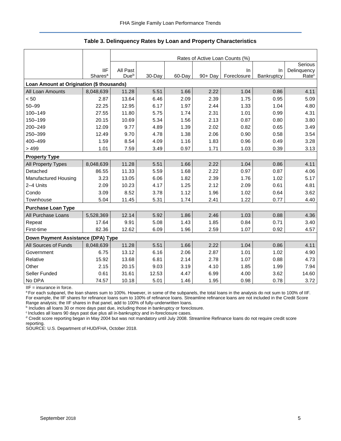#### **Table 3. Delinquency Rates by Loan and Property Characteristics**

|                                           |                     | Rates of Active Loan Counts (%) |        |        |         |             |            |                   |  |
|-------------------------------------------|---------------------|---------------------------------|--------|--------|---------|-------------|------------|-------------------|--|
|                                           |                     |                                 |        |        |         |             |            | Serious           |  |
|                                           | <b>IIF</b>          | All Past                        |        |        |         | In          | In         | Delinquency       |  |
|                                           | Shares <sup>a</sup> | Due <sup>b</sup>                | 30-Day | 60-Day | 90+ Day | Foreclosure | Bankruptcy | Rate <sup>c</sup> |  |
| Loan Amount at Origination (\$ thousands) |                     |                                 |        |        |         |             |            |                   |  |
| All Loan Amounts                          | 8,048,639           | 11.28                           | 5.51   | 1.66   | 2.22    | 1.04        | 0.86       | 4.11              |  |
| < 50                                      | 2.87                | 13.64                           | 6.46   | 2.09   | 2.39    | 1.75        | 0.95       | 5.09              |  |
| $50 - 99$                                 | 22.25               | 12.95                           | 6.17   | 1.97   | 2.44    | 1.33        | 1.04       | 4.80              |  |
| 100-149                                   | 27.55               | 11.80                           | 5.75   | 1.74   | 2.31    | 1.01        | 0.99       | 4.31              |  |
| 150-199                                   | 20.15               | 10.69                           | 5.34   | 1.56   | 2.13    | 0.87        | 0.80       | 3.80              |  |
| 200-249                                   | 12.09               | 9.77                            | 4.89   | 1.39   | 2.02    | 0.82        | 0.65       | 3.49              |  |
| 250-399                                   | 12.49               | 9.70                            | 4.78   | 1.38   | 2.06    | 0.90        | 0.58       | 3.54              |  |
| 400-499                                   | 1.59                | 8.54                            | 4.09   | 1.16   | 1.83    | 0.96        | 0.49       | 3.28              |  |
| >499                                      | 1.01                | 7.59                            | 3.49   | 0.97   | 1.71    | 1.03        | 0.39       | 3.13              |  |
| <b>Property Type</b>                      |                     |                                 |        |        |         |             |            |                   |  |
| All Property Types                        | 8,048,639           | 11.28                           | 5.51   | 1.66   | 2.22    | 1.04        | 0.86       | 4.11              |  |
| Detached                                  | 86.55               | 11.33                           | 5.59   | 1.68   | 2.22    | 0.97        | 0.87       | 4.06              |  |
| Manufactured Housing                      | 3.23                | 13.05                           | 6.06   | 1.82   | 2.39    | 1.76        | 1.02       | 5.17              |  |
| 2-4 Units                                 | 2.09                | 10.23                           | 4.17   | 1.25   | 2.12    | 2.09        | 0.61       | 4.81              |  |
| Condo                                     | 3.09                | 8.52                            | 3.78   | 1.12   | 1.96    | 1.02        | 0.64       | 3.62              |  |
| Townhouse                                 | 5.04                | 11.45                           | 5.31   | 1.74   | 2.41    | 1.22        | 0.77       | 4.40              |  |
| <b>Purchase Loan Type</b>                 |                     |                                 |        |        |         |             |            |                   |  |
| All Purchase Loans                        | 5,528,369           | 12.14                           | 5.92   | 1.86   | 2.46    | 1.03        | 0.88       | 4.36              |  |
| Repeat                                    | 17.64               | 9.91                            | 5.08   | 1.43   | 1.85    | 0.84        | 0.71       | 3.40              |  |
| First-time                                | 82.36               | 12.62                           | 6.09   | 1.96   | 2.59    | 1.07        | 0.92       | 4.57              |  |
| Down Payment Assistance (DPA) Type        |                     |                                 |        |        |         |             |            |                   |  |
| All Sources of Funds                      | 8,048,639           | 11.28                           | 5.51   | 1.66   | 2.22    | 1.04        | 0.86       | 4.11              |  |
| Government                                | 6.75                | 13.12                           | 6.16   | 2.06   | 2.87    | 1.01        | 1.02       | 4.90              |  |
| Relative                                  | 15.92               | 13.68                           | 6.81   | 2.14   | 2.78    | 1.07        | 0.88       | 4.73              |  |
| Other                                     | 2.15                | 20.15                           | 9.03   | 3.19   | 4.10    | 1.85        | 1.99       | 7.94              |  |
| Seller Funded                             | 0.61                | 31.61                           | 12.53  | 4.47   | 6.99    | 4.00        | 3.62       | 14.60             |  |
| No DPA                                    | 74.57               | 10.18                           | 5.01   | 1.46   | 1.95    | 0.98        | 0.78       | 3.72              |  |

IIF = insurance in force.

a For each subpanel, the loan shares sum to 100%. However, in some of the subpanels, the total loans in the analysis do not sum to 100% of IIF. For example, the IIF shares for refinance loans sum to 100% of refinance loans. Streamline refinance loans are not included in the Credit Score Range analysis; the IIF shares in that panel, add to 100% of fully-underwritten loans.

**b** Includes all loans 30 or more days past due, including those in bankruptcy or foreclosure.

<sup>c</sup> Includes all loans 90 days past due plus all in-bankruptcy and in-foreclosure cases.

<sup>d</sup> Credit score reporting began in May 2004 but was not mandatory until July 2008. Streamline Refinance loans do not require credit score reporting.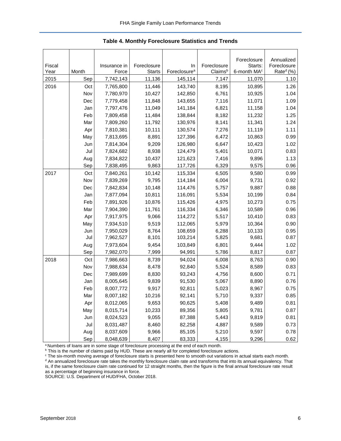<span id="page-6-0"></span>

|                |       |                       |                              |                                |                        | Foreclosure                        | Annualized                           |
|----------------|-------|-----------------------|------------------------------|--------------------------------|------------------------|------------------------------------|--------------------------------------|
| Fiscal<br>Year | Month | Insurance in<br>Force | Foreclosure<br><b>Starts</b> | In<br>Foreclosure <sup>a</sup> | Foreclosure<br>Claimsb | Starts:<br>6-month MA <sup>c</sup> | Foreclosure<br>Rate <sup>d</sup> (%) |
| 2015           | Sep   | 7,742,143             | 11,136                       | 145,114                        | 7,147                  | 11,070                             | 1.10                                 |
| 2016           | Oct   | 7,765,800             | 11,446                       | 143,740                        | 8,195                  | 10,895                             | 1.26                                 |
|                | Nov   | 7,780,970             | 10,427                       | 142,850                        | 6,761                  | 10,925                             | 1.04                                 |
|                | Dec   | 7,779,458             | 11,848                       | 143,655                        | 7,116                  | 11,071                             | 1.09                                 |
|                | Jan   | 7,797,476             | 11,049                       | 141,184                        | 6,821                  | 11,158                             | 1.04                                 |
|                | Feb   | 7,809,458             | 11,484                       | 138,844                        | 8,182                  | 11,232                             | 1.25                                 |
|                | Mar   | 7,809,260             | 11,792                       | 130,976                        | 8,141                  | 11,341                             | 1.24                                 |
|                | Apr   | 7,810,381             | 10,111                       | 130,574                        | 7,276                  | 11,119                             | 1.11                                 |
|                | May   | 7,813,695             | 8,891                        | 127,396                        | 6,472                  | 10,863                             | 0.99                                 |
|                | Jun   | 7,814,304             | 9,209                        | 126,980                        | 6,647                  | 10,423                             | 1.02                                 |
|                | Jul   | 7,824,682             | 8,938                        | 124,479                        | 5,401                  | 10,071                             | 0.83                                 |
|                | Aug   | 7,834,822             | 10,437                       | 121,623                        | 7,416                  | 9,896                              | 1.13                                 |
|                | Sep   | 7,838,495             | 9,863                        | 117,726                        | 6,329                  | 9,575                              | 0.96                                 |
| 2017           | Oct   | 7,840,261             | 10,142                       | 115,334                        | 6,505                  | 9,580                              | 0.99                                 |
|                | Nov   | 7,839,269             | 9,795                        | 114,184                        | 6,004                  | 9,731                              | 0.92                                 |
|                | Dec   | 7,842,834             | 10,148                       | 114,476                        | 5,757                  | 9,887                              | 0.88                                 |
|                | Jan   | 7,877,094             | 10,811                       | 116,091                        | 5,534                  | 10,199                             | 0.84                                 |
|                | Feb   | 7,891,926             | 10,876                       | 115,426                        | 4,975                  | 10,273                             | 0.75                                 |
|                | Mar   | 7,904,390             | 11,761                       | 116,334                        | 6,346                  | 10,589                             | 0.96                                 |
|                | Apr   | 7,917,975             | 9,066                        | 114,272                        | 5,517                  | 10,410                             | 0.83                                 |
|                | May   | 7,934,510             | 9,519                        | 112,065                        | 5,979                  | 10,364                             | 0.90                                 |
|                | Jun   | 7,950,029             | 8,764                        | 108,659                        | 6,288                  | 10,133                             | 0.95                                 |
|                | Jul   | 7,962,527             | 8,101                        | 103,214                        | 5,825                  | 9,681                              | 0.87                                 |
|                | Aug   | 7,973,604             | 9,454                        | 103,849                        | 6,801                  | 9,444                              | 1.02                                 |
|                | Sep   | 7,982,070             | 7,999                        | 94,991                         | 5,786                  | 8,817                              | 0.87                                 |
| 2018           | Oct   | 7,986,663             | 8,739                        | 94,024                         | 6,008                  | 8,763                              | 0.90                                 |
|                | Nov   | 7,988,634             | 8,478                        | 92,840                         | 5,524                  | 8,589                              | 0.83                                 |
|                | Dec   | 7,989,699             | 8,830                        | 93,243                         | 4,756                  | 8,600                              | 0.71                                 |
|                | Jan   | 8,005,645             | 9,839                        | 91,530                         | 5,067                  | 8,890                              | 0.76                                 |
|                | Feb   | 8,007,772             | 9,917                        | 92,811                         | 5,023                  | 8,967                              | 0.75                                 |
|                | Mar   | 8,007,182             | 10,216                       | 92,141                         | 5,710                  | 9,337                              | 0.85                                 |
|                | Apr   | 8,012,065             | 9,653                        | 90,625                         | 5,408                  | 9,489                              | 0.81                                 |
|                | May   | 8,015,714             | 10,233                       | 89,356                         | 5,805                  | 9,781                              | 0.87                                 |
|                | Jun   | 8,024,523             | 9,055                        | 87,388                         | 5,443                  | 9,819                              | 0.81                                 |
|                | Jul   | 8,031,487             | 8,460                        | 82,258                         | 4,887                  | 9,589                              | 0.73                                 |
|                | Aug   | 8,037,609             | 9,966                        | 85,105                         | 5,210                  | 9,597                              | 0.78                                 |
|                | Sep   | 8,048,639             | 8,407                        | 83,333                         | 4,155                  | 9,296                              | 0.62                                 |

**Table 4. Monthly Foreclosure Statistics and Trends**

<sup>a</sup> Numbers of loans are in some stage of foreclosure processing at the end of each month.

 $\rm b$  This is the number of claims paid by HUD. These are nearly all for completed foreclosure actions.

<sup>c</sup> The six-month moving average of foreclosure starts is presented here to smooth out variations in actual starts each month. <sup>d</sup> An annualized foreclosure rate takes the monthly foreclosure claim rate and transforms that into its annual equivalency. That is, if the same foreclosure claim rate continued for 12 straight months, then the figure is the final annual foreclosure rate result as a percentage of beginning insurance in force.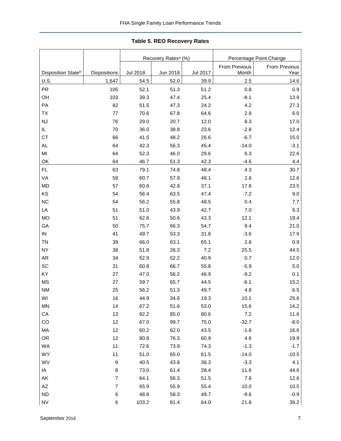<span id="page-7-0"></span>

|                                |                          |                 | Recovery Rates <sup>a</sup> (%) |          | Percentage Point Change |               |  |  |
|--------------------------------|--------------------------|-----------------|---------------------------------|----------|-------------------------|---------------|--|--|
|                                |                          |                 |                                 |          | From Previous           | From Previous |  |  |
| Disposition State <sup>b</sup> | Dispositions             | <b>Jul 2018</b> | Jun 2018                        | Jul 2017 | Month                   | Year          |  |  |
| U.S.                           | 1,647                    | 54.5            | 52.0                            | 39.9     | 2.5                     | 14.6          |  |  |
| PR                             | 105                      | 52.1            | 51.3                            | 51.2     | 0.8                     | 0.9           |  |  |
| OH                             | 103                      | 39.3            | 47.4                            | 25.4     | $-8.1$                  | 13.9          |  |  |
| PA                             | 82                       | 51.5            | 47.3                            | 24.2     | 4.2                     | 27.3          |  |  |
| TX                             | 77                       | 70.6            | 67.8                            | 64.6     | 2.8                     | 6.0           |  |  |
| NJ                             | 76                       | 29.0            | 20.7                            | 12.0     | 8.3                     | 17.0          |  |  |
| IL.                            | 70                       | 36.0            | 38.8                            | 23.6     | $-2.8$                  | 12.4          |  |  |
| <b>CT</b>                      | 66                       | 41.5            | 48.2                            | 26.6     | $-6.7$                  | 15.0          |  |  |
| AL                             | 64                       | 42.3            | 56.3                            | 45.4     | $-14.0$                 | $-3.1$        |  |  |
| MI                             | 64                       | 52.3            | 46.0                            | 29.6     | 6.3                     | 22.6          |  |  |
| OK                             | 64                       | 46.7            | 51.3                            | 42.3     | $-4.6$                  | 4.4           |  |  |
| FL.                            | 63                       | 79.1            | 74.8                            | 48.4     | 4.3                     | 30.7          |  |  |
| VA                             | 59                       | 60.7            | 57.9                            | 48.1     | 2.8                     | 12.6          |  |  |
| <b>MD</b>                      | 57                       | 60.6            | 42.8                            | 37.1     | 17.8                    | 23.5          |  |  |
| KS                             | 54                       | 56.4            | 63.5                            | 47.4     | $-7.2$                  | 9.0           |  |  |
| <b>NC</b>                      | 54                       | 56.2            | 55.8                            | 48.5     | 0.4                     | 7.7           |  |  |
| LA                             | 51                       | 51.0            | 43.9                            | 42.7     | 7.0                     | 8.3           |  |  |
| <b>MO</b>                      | 51                       | 62.6            | 50.6                            | 43.3     | 12.1                    | 19.4          |  |  |
| GA                             | 50                       | 75.7            | 66.3                            | 54.7     | 9.4                     | 21.0          |  |  |
| ${\sf IN}$                     | 41                       | 49.7            | 53.3                            | 31.8     | $-3.6$                  | 17.9          |  |  |
| <b>TN</b>                      | 39                       | 66.0            | 63.1                            | 65.1     | 2.8                     | 0.9           |  |  |
| <b>NY</b>                      | 38                       | 51.8            | 26.3                            | 7.2      | 25.5                    | 44.5          |  |  |
| <b>AR</b>                      | 34                       | 52.9            | 52.2                            | 40.9     | 0.7                     | 12.0          |  |  |
| SC                             | 31                       | 60.8            | 66.7                            | 55.8     | $-5.9$                  | 5.0           |  |  |
| KY                             | 27                       | 47.0            | 56.2                            | 46.9     | $-9.2$                  | 0.1           |  |  |
| <b>MS</b>                      | 27                       | 59.7            | 65.7                            | 44.5     | $-6.1$                  | 15.2          |  |  |
| <b>NM</b>                      | 25                       | 56.2            | 51.3                            | 49.7     | 4.8                     | 6.5           |  |  |
| WI                             | 16                       | 44.9            | 34.8                            | 19.3     | 10.1                    | 25.6          |  |  |
| <b>MN</b>                      | 14                       | 67.2            | 51.6                            | 53.0     | 15.6                    | 14.2          |  |  |
| CA                             | 13                       | 92.2            | 85.0                            | 80.6     | 7.2                     | 11.6          |  |  |
| CO                             | 12                       | 67.0            | 99.7                            | 75.0     | $-32.7$                 | $-8.0$        |  |  |
| MA                             | 12                       | 60.2            | 62.0                            | 43.5     | $-1.8$                  | 16.6          |  |  |
| OR                             | 12                       | 80.8            | 76.3                            | 60.9     | 4.6                     | 19.9          |  |  |
| WA                             | 11                       | 72.6            | 73.9                            | 74.3     | $-1.3$                  | $-1.7$        |  |  |
| <b>WY</b>                      | 11                       | 51.0            | 65.0                            | 61.5     | $-14.0$                 | $-10.5$       |  |  |
| WV                             | $\boldsymbol{9}$         | 40.5            | 43.8                            | 36.3     | $-3.3$                  | 4.1           |  |  |
| IA                             | $\bf 8$                  | 73.0            | 61.4                            | 28.4     | 11.6                    | 44.6          |  |  |
| AK                             | $\boldsymbol{7}$         | 64.1            | 56.3                            | 51.5     | $7.8$                   | 12.6          |  |  |
| $\mathsf{A}\mathsf{Z}$         | $\overline{\mathcal{I}}$ | 65.9            | 55.9                            | 55.4     | 10.0                    | $10.5$        |  |  |
| <b>ND</b>                      | $\,6$                    | 48.8            | 58.3                            | 49.7     | $-9.6$                  | $-0.9$        |  |  |
| ${\sf NV}$                     | 6                        | 103.2           | 81.4                            | 64.0     | 21.8                    | 39.2          |  |  |

### **Table 5. REO Recovery Rates**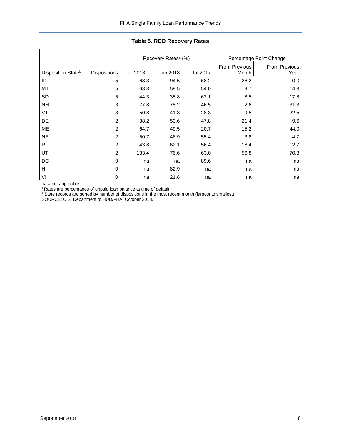|                                |                     |                 | Recovery Rates <sup>a</sup> (%) |          |                        | Percentage Point Change |
|--------------------------------|---------------------|-----------------|---------------------------------|----------|------------------------|-------------------------|
| Disposition State <sup>b</sup> | <b>Dispositions</b> | <b>Jul 2018</b> | Jun 2018                        | Jul 2017 | From Previous<br>Month | From Previous<br>Year   |
| ID                             | 5                   | 68.3            | 94.5                            | 68.2     | $-26.2$                | 0.0                     |
| MT                             | 5                   | 68.3            | 58.5                            | 54.0     | 9.7                    | 14.3                    |
| SD                             | 5                   | 44.3            | 35.8                            | 62.1     | 8.5                    | $-17.8$                 |
| <b>NH</b>                      | 3                   | 77.8            | 75.2                            | 46.5     | 2.6                    | 31.3                    |
| VT                             | 3                   | 50.8            | 41.3                            | 28.3     | 9.5                    | 22.5                    |
| DE                             | $\overline{2}$      | 38.2            | 59.6                            | 47.8     | $-21.4$                | $-9.6$                  |
| ME                             | 2                   | 64.7            | 49.5                            | 20.7     | 15.2                   | 44.0                    |
| <b>NE</b>                      | 2                   | 50.7            | 46.9                            | 55.4     | 3.8                    | $-4.7$                  |
| R <sub>l</sub>                 | $\overline{c}$      | 43.8            | 62.1                            | 56.4     | $-18.4$                | $-12.7$                 |
| UT                             | $\overline{2}$      | 133.4           | 76.6                            | 63.0     | 56.8                   | 70.3                    |
| DC                             | 0                   | na              | na                              | 89.6     | na                     | na                      |
| HI                             | 0                   | na              | 82.9                            | na       | na                     | na                      |
| VI                             | 0                   | na              | 21.8                            | na       | na                     | na                      |

#### **Table 5. REO Recovery Rates**

na = not applicable.

<sup>a</sup> Rates are percentages of unpaid loan balance at time of default.

**b** State records are sorted by number of dispositions in the most recent month (largest to smallest).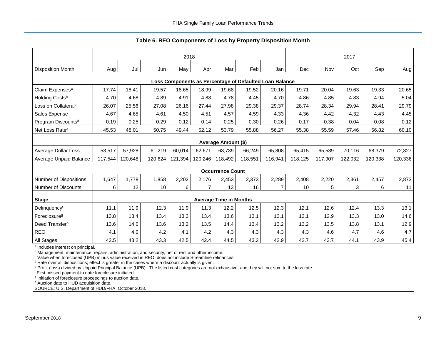**Table 6. REO Components of Loss by Property Disposition Month**

<span id="page-9-0"></span>

|                                 |         |         |         | 2018    |                |                               |                                                         |                |         |         | 2017    |         |         |
|---------------------------------|---------|---------|---------|---------|----------------|-------------------------------|---------------------------------------------------------|----------------|---------|---------|---------|---------|---------|
| <b>Disposition Month</b>        | Aug     | Jul     | Jun     | May     | Apr            | Mar                           | Feb                                                     | Jan            | Dec     | Nov     | Oct     | Sep     | Aug     |
|                                 |         |         |         |         |                |                               |                                                         |                |         |         |         |         |         |
|                                 |         |         |         |         |                |                               | Loss Components as Percentage of Defaulted Loan Balance |                |         |         |         |         |         |
| Claim Expenses <sup>a</sup>     | 17.74   | 18.41   | 19.57   | 18.65   | 18.99          | 19.68                         | 19.52                                                   | 20.16          | 19.71   | 20.04   | 19.63   | 19.33   | 20.65   |
| Holding Costsb                  | 4.70    | 4.68    | 4.89    | 4.91    | 4.88           | 4.78                          | 4.45                                                    | 4.70           | 4.86    | 4.85    | 4.83    | 4.94    | 5.04    |
| Loss on Collateral <sup>c</sup> | 26.07   | 25.56   | 27.08   | 26.16   | 27.44          | 27.98                         | 29.38                                                   | 29.37          | 28.74   | 28.34   | 29.94   | 28.41   | 29.79   |
| Sales Expense                   | 4.67    | 4.65    | 4.61    | 4.50    | 4.51           | 4.57                          | 4.59                                                    | 4.33           | 4.36    | 4.42    | 4.32    | 4.43    | 4.45    |
| Program Discounts <sup>d</sup>  | 0.19    | 0.25    | 0.29    | 0.12    | 0.14           | 0.25                          | 0.30                                                    | 0.26           | 0.17    | 0.38    | 0.04    | 0.08    | 0.12    |
| Net Loss Rate <sup>e</sup>      | 45.53   | 48.01   | 50.75   | 49.44   | 52.12          | 53.79                         | 55.88                                                   | 56.27          | 55.38   | 55.59   | 57.46   | 56.82   | 60.10   |
|                                 |         |         |         |         |                | Average Amount (\$)           |                                                         |                |         |         |         |         |         |
| Average Dollar Loss             | 53,517  | 57,928  | 61,219  | 60,014  | 62,671         | 63,739                        | 66,249                                                  | 65,808         | 65,415  | 65,539  | 70.116  | 68,379  | 72,327  |
| Average Unpaid Balance          | 117,544 | 120.648 | 120,624 | 121,394 | 120,246        | 118,492                       | 118,551                                                 | 116,941        | 118.125 | 117.907 | 122,032 | 120,338 | 120,336 |
|                                 |         |         |         |         |                | <b>Occurrence Count</b>       |                                                         |                |         |         |         |         |         |
| <b>Number of Dispositions</b>   | 1,647   | 1,778   | 1,858   | 2,202   | 2,176          | 2,453                         | 2,373                                                   | 2,289          | 2,408   | 2,220   | 2,361   | 2,457   | 2,873   |
| <b>Number of Discounts</b>      | 6       | 12      | 10      | 6       | $\overline{7}$ | 13                            | 16                                                      | $\overline{7}$ | 10      | 5       | 3       | 6       | 11      |
| <b>Stage</b>                    |         |         |         |         |                | <b>Average Time in Months</b> |                                                         |                |         |         |         |         |         |
| Delinquencyf                    | 11.1    | 11.9    | 12.3    | 11.9    | 11.3           | 12.2                          | 12.5                                                    | 12.3           | 12.1    | 12.6    | 12.4    | 13.3    | 13.1    |
| Foreclosure <sup>g</sup>        | 13.8    | 13.4    | 13.4    | 13.3    | 13.4           | 13.6                          | 13.1                                                    | 13.1           | 13.1    | 12.9    | 13.3    | 13.0    | 14.6    |
| Deed Transferh                  | 13.6    | 14.0    | 13.6    | 13.2    | 13.5           | 14.4                          | 13.4                                                    | 13.2           | 13.2    | 13.5    | 13.8    | 13.1    | 12.9    |
| <b>REO</b>                      | 4.1     | 4.0     | 4.2     | 4.1     | 4.2            | 4.3                           | 4.3                                                     | 4.3            | 4.3     | 4.6     | 4.7     | 4.6     | 4.7     |
| All Stages                      | 42.5    | 43.2    | 43.3    | 42.5    | 42.4           | 44.5                          | 43.2                                                    | 42.9           | 42.7    | 43.7    | 44.1    | 43.9    | 45.4    |

<sup>a</sup> Includes interest on principal.

**b** Management, maintenance, repairs, administration, and security, net of rent and other income.

<sup>c</sup> Value when foreclosed (UPB) minus value received in REO; does not include Streamline refinances.

<sup>d</sup> Rate over all dispositions; effect is greater in the cases where a discount actually is given.

e Profit (loss) divided by Unpaid Principal Balance (UPB). The listed cost categories are not exhaustive, and they will not sum to the loss rate.

<sup>f</sup> First missed payment to date foreclosure initiated.

<sup>9</sup> Initiation of foreclosure proceedings to auction date.

h Auction date to HUD acquisition date.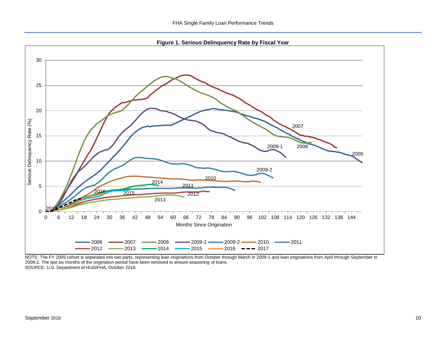**Figure 1. Serious Delinquency Rate by Fiscal Year**

<span id="page-10-0"></span>

NOTE: The FY 2009 cohort is separated into two parts, representing loan originations from October through March in 2009-1 and loan originations from April through September in 2009-2. The last six months of the origination period have been removed to ensure seasoning of loans. SOURCE: U.S. Department of HUD/FHA, October 2018.